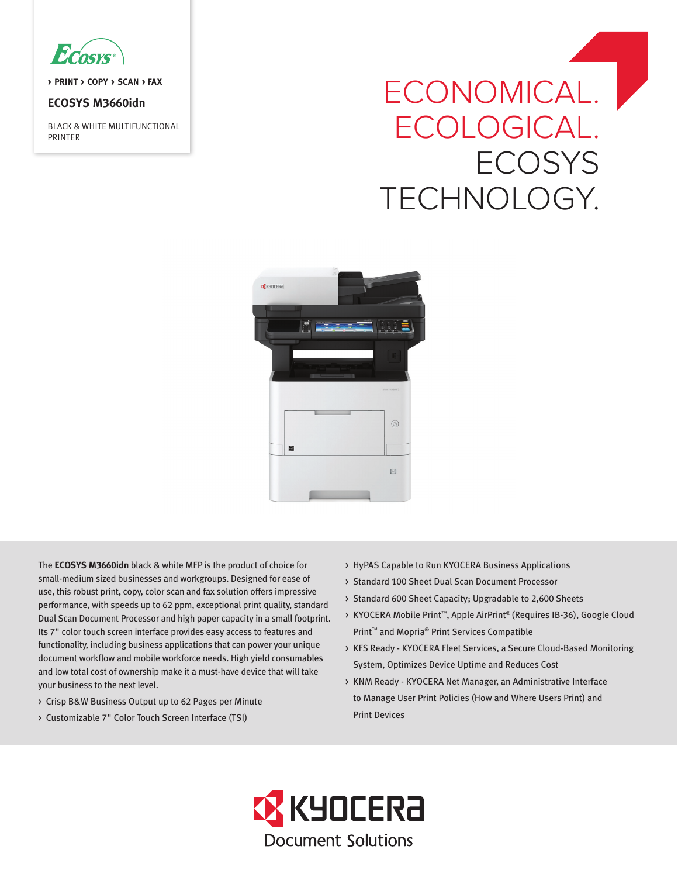

**> PRINT > COPY > SCAN > FAX**

## **ECOSYS M3660idn**

BLACK & WHITE MULTIFUNCTIONAL PRINTER

# ECONOMICAL. | ECOLOGICAL. **ECOSYS** TECHNOLOGY.



The **ECOSYS M3660idn** black & white MFP is the product of choice for small-medium sized businesses and workgroups. Designed for ease of use, this robust print, copy, color scan and fax solution offers impressive performance, with speeds up to 62 ppm, exceptional print quality, standard Dual Scan Document Processor and high paper capacity in a small footprint. Its 7" color touch screen interface provides easy access to features and functionality, including business applications that can power your unique document workflow and mobile workforce needs. High yield consumables and low total cost of ownership make it a must-have device that will take your business to the next level.

- > Crisp B&W Business Output up to 62 Pages per Minute
- > Customizable 7" Color Touch Screen Interface (TSI)
- > HyPAS Capable to Run KYOCERA Business Applications
- > Standard 100 Sheet Dual Scan Document Processor
- > Standard 600 Sheet Capacity; Upgradable to 2,600 Sheets
- > KYOCERA Mobile Print™, Apple AirPrint® (Requires IB-36), Google Cloud Print™ and Mopria® Print Services Compatible
- > KFS Ready KYOCERA Fleet Services, a Secure Cloud-Based Monitoring System, Optimizes Device Uptime and Reduces Cost
- > KNM Ready KYOCERA Net Manager, an Administrative Interface to Manage User Print Policies (How and Where Users Print) and Print Devices